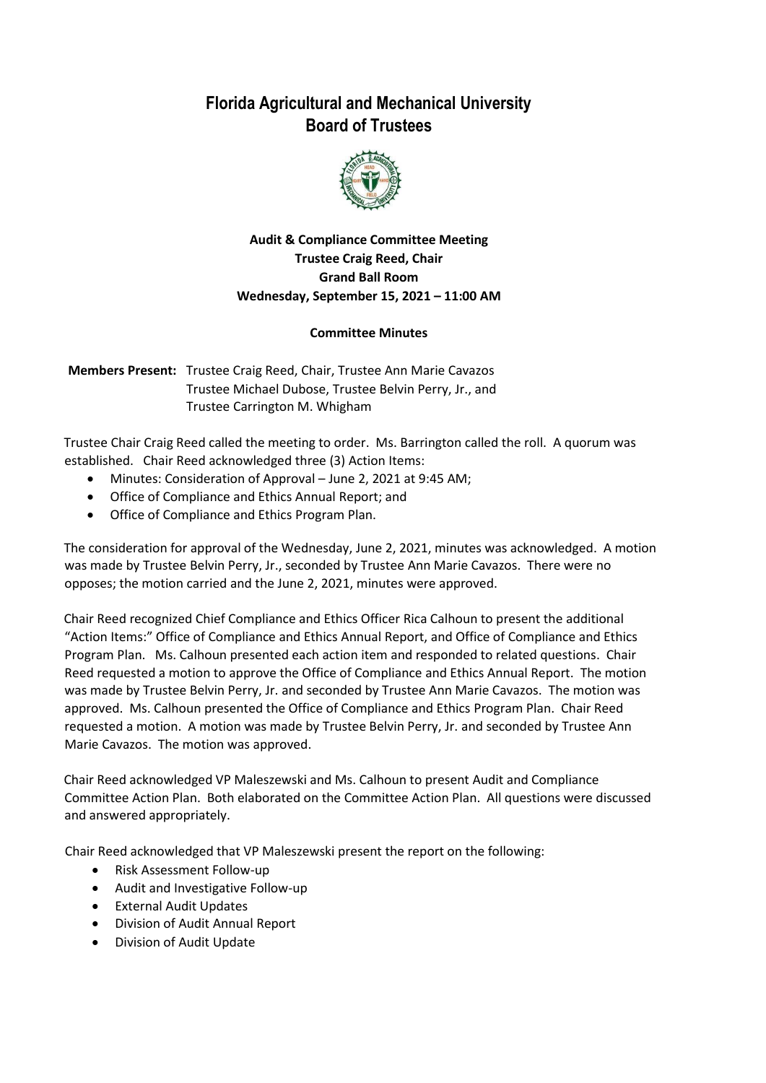## **Florida Agricultural and Mechanical University Board of Trustees**



## **Audit & Compliance Committee Meeting Trustee Craig Reed, Chair Grand Ball Room Wednesday, September 15, 2021 – 11:00 AM**

## **Committee Minutes**

**Members Present:** Trustee Craig Reed, Chair, Trustee Ann Marie Cavazos Trustee Michael Dubose, Trustee Belvin Perry, Jr., and Trustee Carrington M. Whigham

Trustee Chair Craig Reed called the meeting to order. Ms. Barrington called the roll. A quorum was established. Chair Reed acknowledged three (3) Action Items:

- Minutes: Consideration of Approval June 2, 2021 at 9:45 AM;
- Office of Compliance and Ethics Annual Report; and
- Office of Compliance and Ethics Program Plan.

The consideration for approval of the Wednesday, June 2, 2021, minutes was acknowledged. A motion was made by Trustee Belvin Perry, Jr., seconded by Trustee Ann Marie Cavazos. There were no opposes; the motion carried and the June 2, 2021, minutes were approved.

Chair Reed recognized Chief Compliance and Ethics Officer Rica Calhoun to present the additional "Action Items:" Office of Compliance and Ethics Annual Report, and Office of Compliance and Ethics Program Plan. Ms. Calhoun presented each action item and responded to related questions. Chair Reed requested a motion to approve the Office of Compliance and Ethics Annual Report. The motion was made by Trustee Belvin Perry, Jr. and seconded by Trustee Ann Marie Cavazos. The motion was approved. Ms. Calhoun presented the Office of Compliance and Ethics Program Plan. Chair Reed requested a motion. A motion was made by Trustee Belvin Perry, Jr. and seconded by Trustee Ann Marie Cavazos. The motion was approved.

Chair Reed acknowledged VP Maleszewski and Ms. Calhoun to present Audit and Compliance Committee Action Plan. Both elaborated on the Committee Action Plan. All questions were discussed and answered appropriately.

Chair Reed acknowledged that VP Maleszewski present the report on the following:

- Risk Assessment Follow-up
- Audit and Investigative Follow-up
- External Audit Updates
- Division of Audit Annual Report
- Division of Audit Update